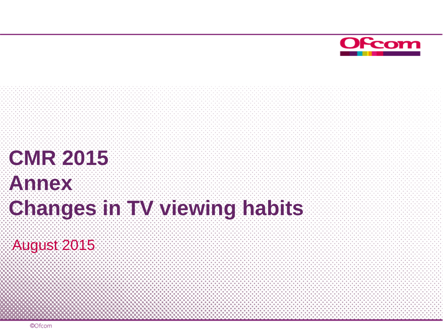

# **CMR 2015 Annex Changes in TW viewing habits**

August 2015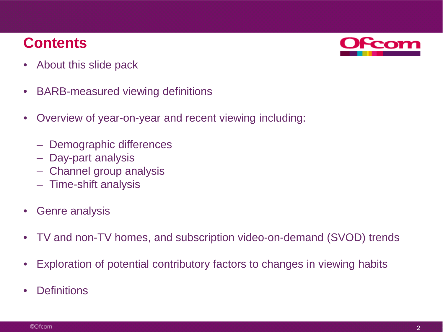## **Contents**



- About this slide pack
- BARB-measured viewing definitions
- Overview of year-on-year and recent viewing including:
	- Demographic differences
	- Day-part analysis
	- Channel group analysis
	- Time-shift analysis
- Genre analysis
- TV and non-TV homes, and subscription video-on-demand (SVOD) trends
- Exploration of potential contributory factors to changes in viewing habits
- **Definitions**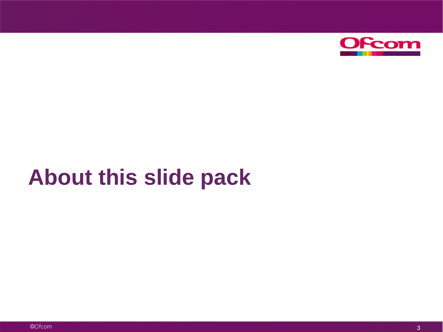

# **About this slide pack**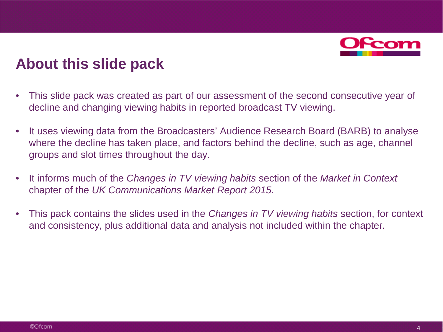

## **About this slide pack**

- This slide pack was created as part of our assessment of the second consecutive year of decline and changing viewing habits in reported broadcast TV viewing.
- It uses viewing data from the Broadcasters' Audience Research Board (BARB) to analyse where the decline has taken place, and factors behind the decline, such as age, channel groups and slot times throughout the day.
- It informs much of the *Changes in TV viewing habits* section of the *Market in Context*  chapter of the *UK Communications Market Report 2015*.
- This pack contains the slides used in the *Changes in TV viewing habits* section, for context and consistency, plus additional data and analysis not included within the chapter.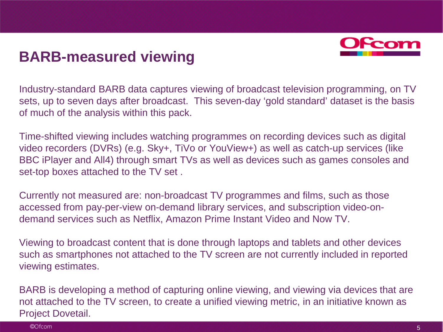

## **BARB-measured viewing**

Industry-standard BARB data captures viewing of broadcast television programming, on TV sets, up to seven days after broadcast. This seven-day 'gold standard' dataset is the basis of much of the analysis within this pack.

Time-shifted viewing includes watching programmes on recording devices such as digital video recorders (DVRs) (e.g. Sky+, TiVo or YouView+) as well as catch-up services (like BBC iPlayer and All4) through smart TVs as well as devices such as games consoles and set-top boxes attached to the TV set .

Currently not measured are: non-broadcast TV programmes and films, such as those accessed from pay-per-view on-demand library services, and subscription video-ondemand services such as Netflix, Amazon Prime Instant Video and Now TV.

Viewing to broadcast content that is done through laptops and tablets and other devices such as smartphones not attached to the TV screen are not currently included in reported viewing estimates.

BARB is developing a method of capturing online viewing, and viewing via devices that are not attached to the TV screen, to create a unified viewing metric, in an initiative known as Project Dovetail.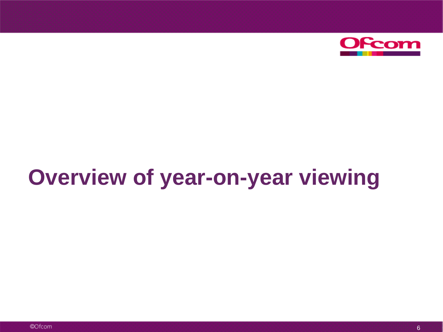

# **Overview of year-on-year viewing**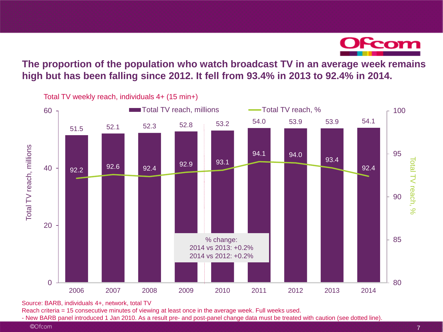

### **The proportion of the population who watch broadcast TV in an average week remains high but has been falling since 2012. It fell from 93.4% in 2013 to 92.4% in 2014.**



Source: BARB, individuals 4+, network, total TV

Reach criteria = 15 consecutive minutes of viewing at least once in the average week. Full weeks used.<br>- New BARB panel introduced 1 Jan 2010. As a result pre- and post-panel change data must be treated with caution (see d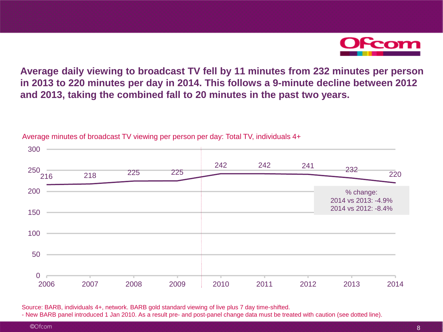

**Average daily viewing to broadcast TV fell by 11 minutes from 232 minutes per person in 2013 to 220 minutes per day in 2014. This follows a 9-minute decline between 2012 and 2013, taking the combined fall to 20 minutes in the past two years.**



Average minutes of broadcast TV viewing per person per day: Total TV, individuals 4+

Source: BARB, individuals 4+, network. BARB gold standard viewing of live plus 7 day time-shifted.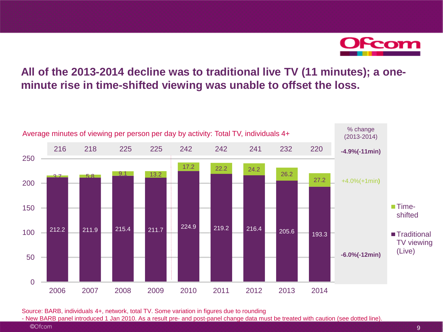

## **All of the 2013-2014 decline was to traditional live TV (11 minutes); a oneminute rise in time-shifted viewing was unable to offset the loss.**



Source: BARB, individuals 4+, network, total TV. Some variation in figures due to rounding

- New BARB panel introduced 1 Jan 2010. As a result pre- and post-panel change data must be treated with caution (see dotted line).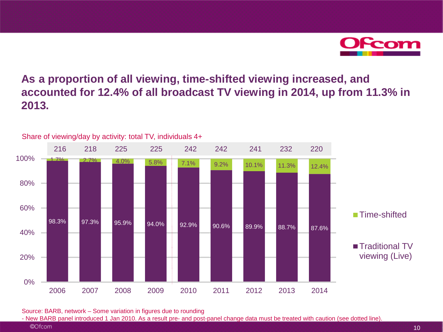Scom

## **As a proportion of all viewing, time-shifted viewing increased, and accounted for 12.4% of all broadcast TV viewing in 2014, up from 11.3% in 2013.**



Share of viewing/day by activity: total TV, individuals 4+

Source: BARB, network – Some variation in figures due to rounding

<sup>©</sup>Ofcom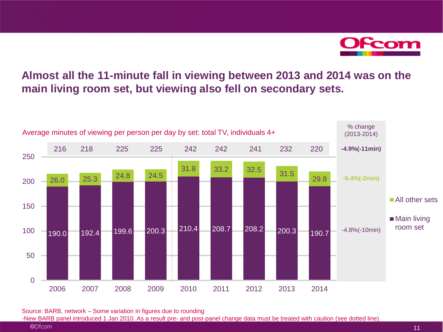

## **Almost all the 11-minute fall in viewing between 2013 and 2014 was on the main living room set, but viewing also fell on secondary sets.**



Source: BARB, network – Some variation in figures due to rounding

-New BARB panel introduced 1 Jan 2010. As a result pre- and post-panel change data must be treated with caution (see dotted line).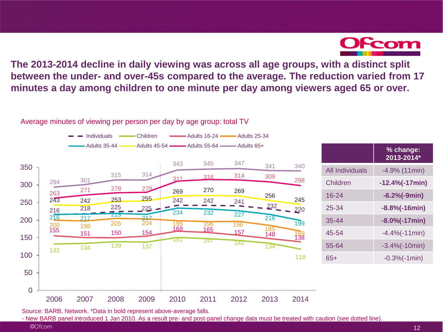

**The 2013-2014 decline in daily viewing was across all age groups, with a distinct split between the under- and over-45s compared to the average. The reduction varied from 17 minutes a day among children to one minute per day among viewers aged 65 or over.**

Average minutes of viewing per person per day by age group: total TV



|                 | % change:<br>2013-2014* |
|-----------------|-------------------------|
| All Individuals | $-4.9%$ (11min)         |
| Children        | $-12.4\%(-17min)$       |
| $16 - 24$       | $-6.2%(-9min)$          |
| 25-34           | $-8.8\%(-16min)$        |
| $35 - 44$       | $-8.0\%(-17min)$        |
| 45-54           | $-4.4%(-11min)$         |
| 55-64           | $-3.4%(-10min)$         |
| 65+             | $-0.3%(-1min)$          |

Source: BARB, Network. \*Data in bold represent above-average falls.

- New BARB panel introduced 1 Jan 2010. As a result pre- and post-panel change data must be treated with caution (see dotted line).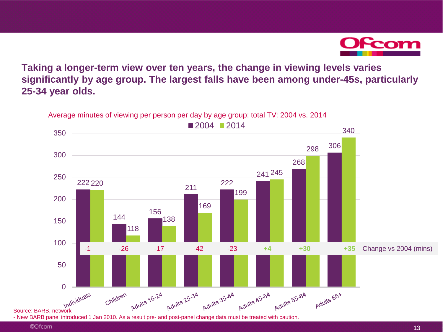

**Taking a longer-term view over ten years, the change in viewing levels varies significantly by age group. The largest falls have been among under-45s, particularly 25-34 year olds.**

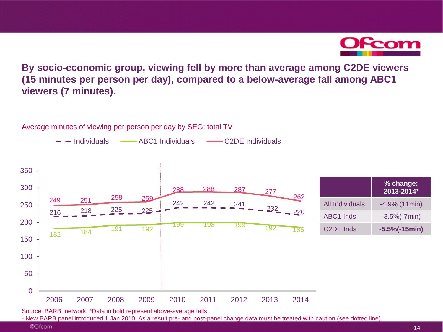

**By socio-economic group, viewing fell by more than average among C2DE viewers (15 minutes per person per day), compared to a below-average fall among ABC1 viewers (7 minutes).**

Average minutes of viewing per person per day by SEG: total TV

- Individuals - ABC1 Individuals - C2DE Individuals



Source: BARB, network. \*Data in bold represent above-average falls.

- New BARB panel introduced 1 Jan 2010. As a result pre- and post-panel change data must be treated with caution (see dotted line).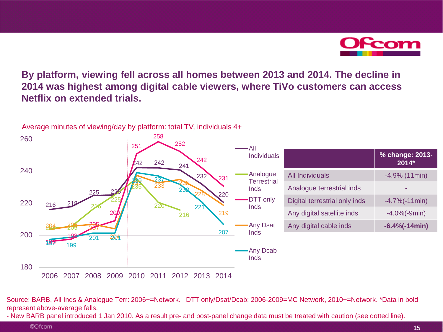

**By platform, viewing fell across all homes between 2013 and 2014. The decline in 2014 was highest among digital cable viewers, where TiVo customers can access Netflix on extended trials.**



Source: BARB, All Inds & Analogue Terr: 2006+=Network. DTT only/Dsat/Dcab: 2006-2009=MC Network, 2010+=Network. \*Data in bold represent above-average falls.

- New BARB panel introduced 1 Jan 2010. As a result pre- and post-panel change data must be treated with caution (see dotted line).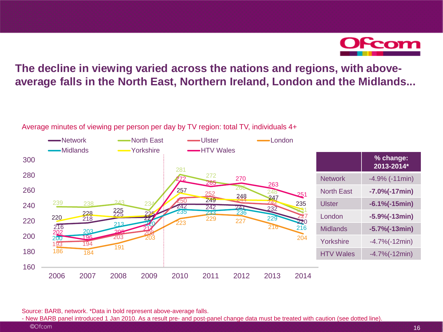Ofcom

## **The decline in viewing varied across the nations and regions, with aboveaverage falls in the North East, Northern Ireland, London and the Midlands...**

Average minutes of viewing per person per day by TV region: total TV, individuals 4+



Source: BARB, network. \*Data in bold represent above-average falls.

<sup>©</sup>Ofcom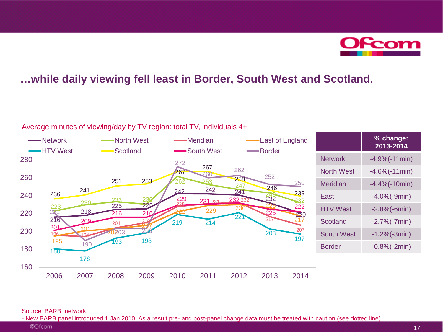

### **…while daily viewing fell least in Border, South West and Scotland.**



Average minutes of viewing/day by TV region: total TV, individuals 4+

#### Source: BARB, network

©Ofcom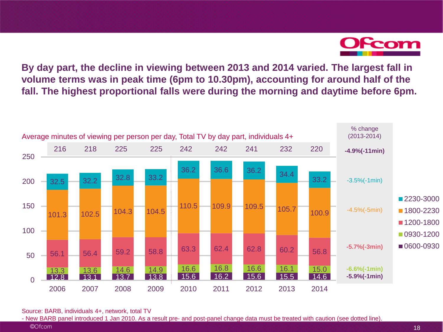

**By day part, the decline in viewing between 2013 and 2014 varied. The largest fall in volume terms was in peak time (6pm to 10.30pm), accounting for around half of the fall. The highest proportional falls were during the morning and daytime before 6pm.**



Source: BARB, individuals 4+, network, total TV

- New BARB panel introduced 1 Jan 2010. As a result pre- and post-panel change data must be treated with caution (see dotted line).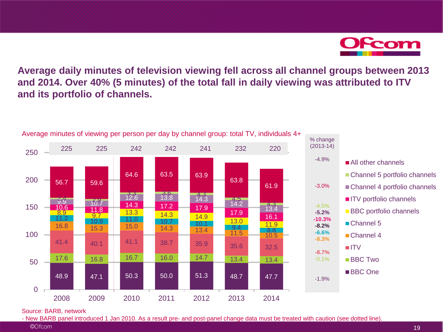Ofcom

**Average daily minutes of television viewing fell across all channel groups between 2013 and 2014. Over 40% (5 minutes) of the total fall in daily viewing was attributed to ITV and its portfolio of channels.**



Source: BARB, network

<sup>©</sup>Ofcom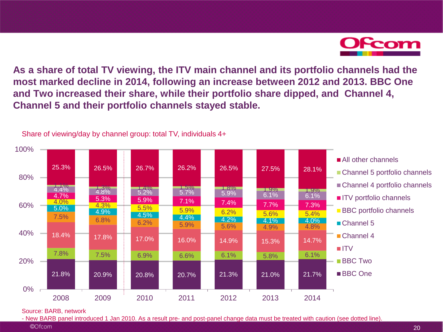

**As a share of total TV viewing, the ITV main channel and its portfolio channels had the most marked decline in 2014, following an increase between 2012 and 2013. BBC One and Two increased their share, while their portfolio share dipped, and Channel 4, Channel 5 and their portfolio channels stayed stable.**



Share of viewing/day by channel group: total TV, individuals 4+

#### Source: BARB, network

<sup>©</sup>Ofcom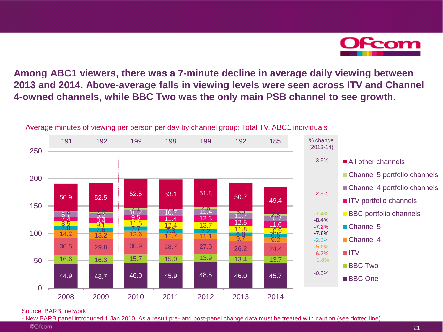**OFcom** 

**Among ABC1 viewers, there was a 7-minute decline in average daily viewing between 2013 and 2014. Above-average falls in viewing levels were seen across ITV and Channel 4-owned channels, while BBC Two was the only main PSB channel to see growth.**



Average minutes of viewing per person per day by channel group: Total TV, ABC1 individuals

Source: BARB, network

- New BARB panel introduced 1 Jan 2010. As a result pre- and post-panel change data must be treated with caution (see dotted line).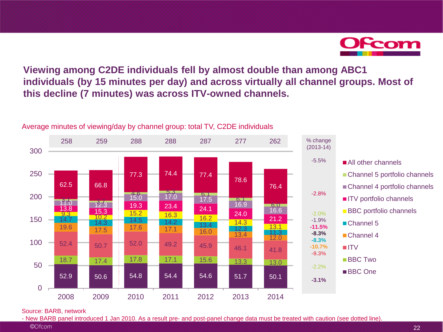Ofcom

**Viewing among C2DE individuals fell by almost double than among ABC1 individuals (by 15 minutes per day) and across virtually all channel groups. Most of this decline (7 minutes) was across ITV-owned channels.**



Average minutes of viewing/day by channel group: total TV, C2DE individuals

Source: BARB, network

<sup>©</sup>Ofcom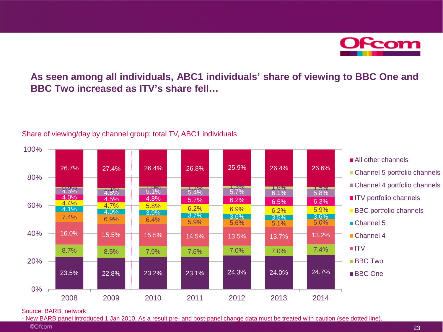**Ofcom** 

### **As seen among all individuals, ABC1 individuals' share of viewing to BBC One and BBC Two increased as ITV's share fell…**



#### Share of viewing/day by channel group: total TV, ABC1 individuals

#### Source: BARB, network

<sup>©</sup>Ofcom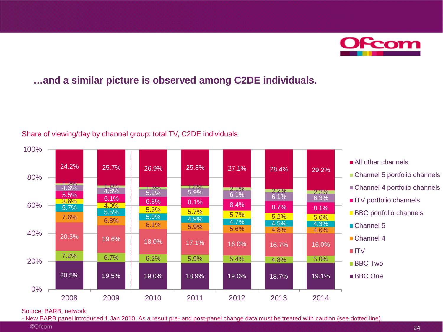**OFcom** 

### **…and a similar picture is observed among C2DE individuals.**



#### Share of viewing/day by channel group: total TV, C2DE individuals

Source: BARB, network

<sup>©</sup>Ofcom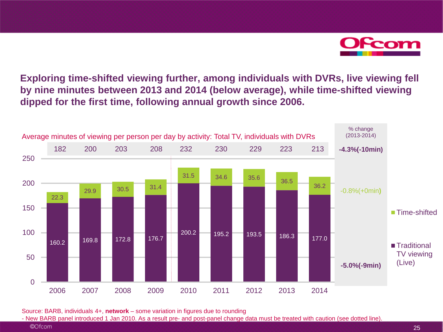

**Exploring time-shifted viewing further, among individuals with DVRs, live viewing fell by nine minutes between 2013 and 2014 (below average), while time-shifted viewing dipped for the first time, following annual growth since 2006.**



Source: BARB, individuals 4+, **network** – some variation in figures due to rounding

- New BARB panel introduced 1 Jan 2010. As a result pre- and post-panel change data must be treated with caution (see dotted line).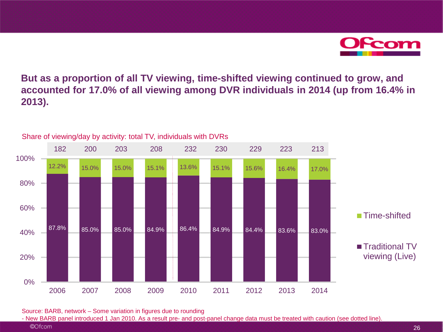Form

**But as a proportion of all TV viewing, time-shifted viewing continued to grow, and accounted for 17.0% of all viewing among DVR individuals in 2014 (up from 16.4% in 2013).**



Share of viewing/day by activity: total TV, individuals with DVRs

Source: BARB, network – Some variation in figures due to rounding

<sup>©</sup>Ofcom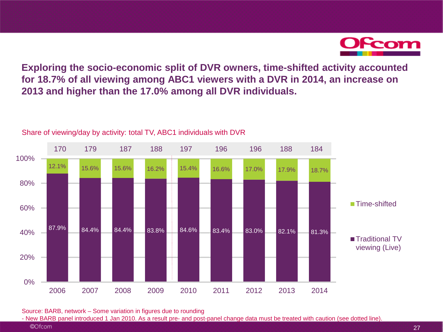

**Exploring the socio-economic split of DVR owners, time-shifted activity accounted for 18.7% of all viewing among ABC1 viewers with a DVR in 2014, an increase on 2013 and higher than the 17.0% among all DVR individuals.**



#### Share of viewing/day by activity: total TV, ABC1 individuals with DVR

Source: BARB, network – Some variation in figures due to rounding

<sup>©</sup>Ofcom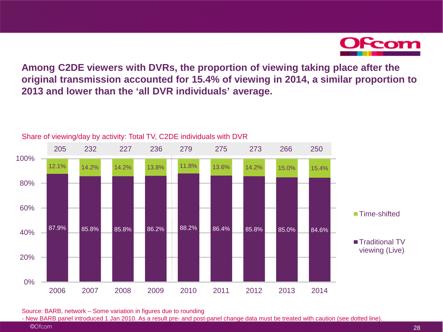

**Among C2DE viewers with DVRs, the proportion of viewing taking place after the original transmission accounted for 15.4% of viewing in 2014, a similar proportion to 2013 and lower than the 'all DVR individuals' average.**



Share of viewing/day by activity: Total TV, C2DE individuals with DVR

Source: BARB, network – Some variation in figures due to rounding

<sup>©</sup>Ofcom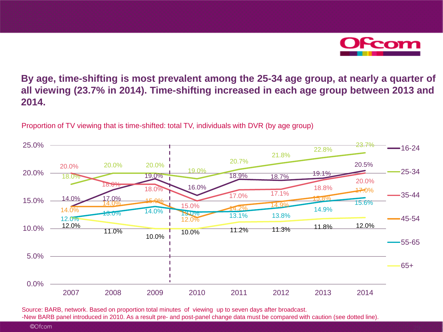

**By age, time-shifting is most prevalent among the 25-34 age group, at nearly a quarter of all viewing (23.7% in 2014). Time-shifting increased in each age group between 2013 and 2014.**

14.0% 17.0% 14.0% 15.0% 19.0% 16.0% 18.9% 18.7% 19.1% 20.5% 18.0% 20.0% 20.0% 19.0% 20.7% 21.8% 22.8% 23.7% 20.0% 18.0% 18.0% 15.0% 17.0% 17.1% 18.8% 20.0% 14.0% 12.0% 14.2% 14.9% 15.8% 17.0% 12.0% 13.0% 14.0% 13.1% 14.2% 13.8% 14.9% 15.6% 12.0% 11.0% 10.0% 11.2% 11.3% 11.8% 12.0%<br>10.0% 1 0.0% 5.0% 10.0% 15.0% 20.0% 25.0% 2007 2008 2009 2010 2011 2012 2013 2014 16-24 25-34 35-44 45-54 55-65 65+

Proportion of TV viewing that is time-shifted: total TV, individuals with DVR (by age group)

Source: BARB, network. Based on proportion total minutes of viewing up to seven days after broadcast. -New BARB panel introduced in 2010. As a result pre- and post-panel change data must be compared with caution (see dotted line).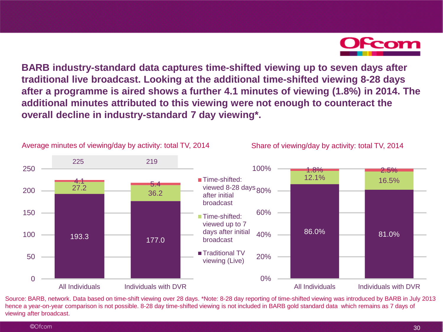

**BARB industry-standard data captures time-shifted viewing up to seven days after traditional live broadcast. Looking at the additional time-shifted viewing 8-28 days after a programme is aired shows a further 4.1 minutes of viewing (1.8%) in 2014. The additional minutes attributed to this viewing were not enough to counteract the overall decline in industry-standard 7 day viewing\*.**



Source: BARB, network. Data based on time-shift viewing over 28 days. \*Note: 8-28 day reporting of time-shifted viewing was introduced by BARB in July 2013 hence a year-on-year comparison is not possible. 8-28 day time-shifted viewing is not included in BARB gold standard data which remains as 7 days of viewing after broadcast.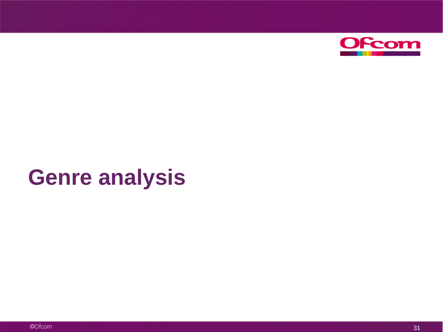

# **Genre analysis**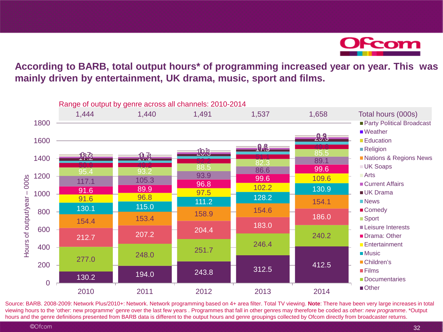

**According to BARB, total output hours\* of programming increased year on year. This was mainly driven by entertainment, UK drama, music, sport and films.**



Source: BARB. 2008-2009: Network Plus/2010+: Network. Network programming based on 4+ area filter. Total TV viewing. **Note**: There have been very large increases in total viewing hours to the 'other: new programme' genre over the last few years . Programmes that fall in other genres may therefore be coded as *other: new programme*. \*Output hours and the genre definitions presented from BARB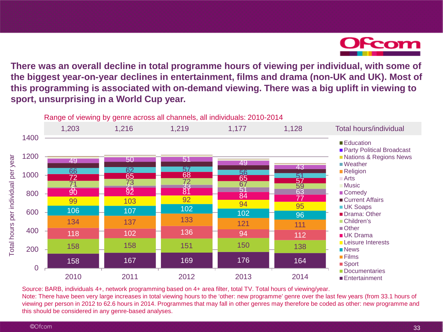

**There was an overall decline in total programme hours of viewing per individual, with some of the biggest year-on-year declines in entertainment, films and drama (non-UK and UK). Most of this programming is associated with on-demand viewing. There was a big uplift in viewing to sport, unsurprising in a World Cup year.**



Source: BARB, individuals 4+, network programming based on 4+ area filter, total TV. Total hours of viewing/year.

Note: There have been very large increases in total viewing hours to the 'other: new programme' genre over the last few years (from 33.1 hours of viewing per person in 2012 to 62.6 hours in 2014. Programmes that may fall in other genres may therefore be coded as other: new programme and this should be considered in any genre-based analyses.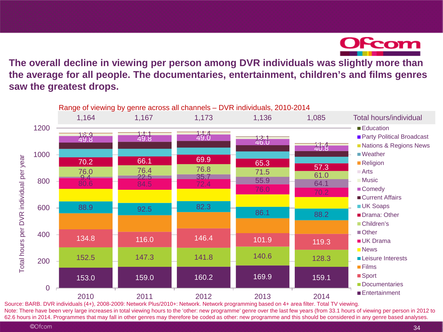

**The overall decline in viewing per person among DVR individuals was slightly more than the average for all people. The documentaries, entertainment, children's and films genres saw the greatest drops.**



Source: BARB. DVR individuals (4+), 2008-2009: Network Plus/2010+: Network. Network programming based on 4+ area filter. Total TV viewing. Note: There have been very large increases in total viewing hours to the 'other: new programme' genre over the last few years (from 33.1 hours of viewing per person in 2012 to 62.6 hours in 2014. Programmes that may fall in other genres may therefore be coded as other: new programme and this should be considered in any genre based analyses.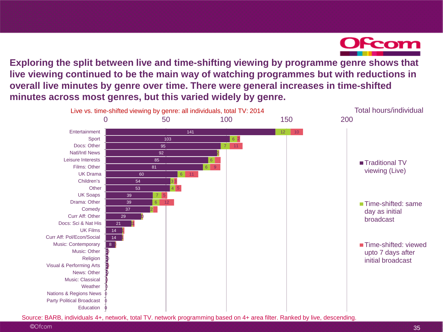

**Exploring the split between live and time-shifting viewing by programme genre shows that live viewing continued to be the main way of watching programmes but with reductions in overall live minutes by genre over time. There were general increases in time-shifted minutes across most genres, but this varied widely by genre.**



Source: BARB, individuals 4+, network, total TV. network programming based on 4+ area filter. Ranked by live, descending.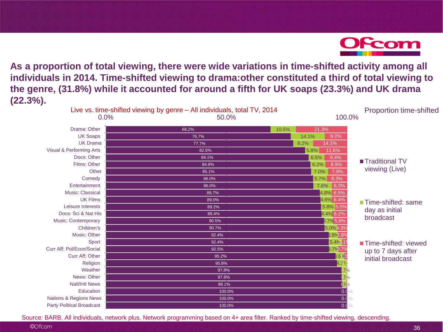

**As a proportion of total viewing, there were wide variations in time-shifted activity among all individuals in 2014. Time-shifted viewing to drama:other constituted a third of total viewing to the genre, (31.8%) while it accounted for around a fifth for UK soaps (23.3%) and UK drama (22.3%).**

|                                  | Live vs. time-shifted viewing by genre – All individuals, total TV, 2014 |        |                   | <b>Proportion time-shifted</b> |
|----------------------------------|--------------------------------------------------------------------------|--------|-------------------|--------------------------------|
|                                  | 0.0%                                                                     | 50.0%  | 100.0%            |                                |
| Drama: Other                     | 68.2%                                                                    | 10.5%  | 21.3%             |                                |
| <b>UK Soaps</b>                  | 76.7%                                                                    | 14.1%  | 9.2%              |                                |
| <b>UK Drama</b>                  | 77.7%                                                                    | 8.2%   | 14.1%             |                                |
| Visual & Performing Arts         | 82.6%                                                                    | 5.8%   | 11.6%             |                                |
| Docs: Other                      | 84.1%                                                                    |        | 6.5%<br>9.4%      |                                |
| Films: Other                     | 84.8%                                                                    |        | 6.2%<br>8.9%      | ■ Traditional TV               |
| Other                            | 85.1%                                                                    |        | 7.9%<br>7.0%      | viewing (Live)                 |
| Comedy                           | 86.0%                                                                    |        | 8.3%<br>$5.7\%$   |                                |
| Entertainment                    | 86.0%                                                                    |        | 7.6%<br>6.3%      |                                |
| <b>Music: Classical</b>          | 88.7%                                                                    |        | 4.8% 6.5%         |                                |
| <b>UK Films</b>                  | 89.0%                                                                    |        | 4.6% 6.4%         | Time-shifted: same             |
| Leisure Interests                | 89.2%                                                                    |        | 5.8% 5.0%         | day as initial                 |
| Docs: Sci & Nat His              | 89.4%                                                                    |        | 4.4% 6.2%         |                                |
| <b>Music: Contemporary</b>       | 90.5%                                                                    |        | 3.7%5.8%          | broadcast                      |
| Children's                       |                                                                          | 90.7%  | 5.0%4.3%          |                                |
| <b>Music: Other</b>              |                                                                          | 92.4%  | <b>B.8%8.8%</b>   |                                |
| <b>Sport</b>                     |                                                                          | 92.4%  | 5.4% 1            | ■ Time-shifted: viewed         |
| Curr Aff: Pol/Econ/Social        | 92.5%                                                                    |        | 3.7%3.7%          | up to 7 days after             |
| Curr Aff: Other                  | 95.2%                                                                    | .6%    | initial broadcast |                                |
| Religion                         |                                                                          | 95.8%  | 4.2%              |                                |
| Weather                          |                                                                          | 97.8%  | $Q\theta_0$       |                                |
| News: Other                      |                                                                          | 97.8%  |                   |                                |
| <b>Natl/Intl News</b>            |                                                                          | 98.1%  | 0636              |                                |
| Education                        |                                                                          | 100.0% | 0.0               |                                |
| Nations & Regions News           |                                                                          | 100.0% | 0.0               |                                |
| <b>Party Political Broadcast</b> |                                                                          | 100.0% | 0.0               |                                |

Source: BARB. All individuals, network plus. Network programming based on 4+ area filter. Ranked by time-shifted viewing, descending.

<sup>©</sup>Ofcom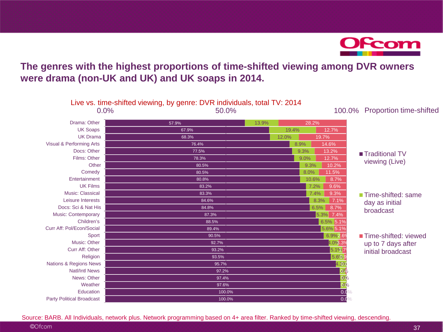

### **The genres with the highest proportions of time-shifted viewing among DVR owners were drama (non-UK and UK) and UK soaps in 2014.**

|                                  | Live vs. time-shifted viewing, by genre: DVR individuals, total TV: 2014 |        |       |              |                                |
|----------------------------------|--------------------------------------------------------------------------|--------|-------|--------------|--------------------------------|
|                                  | 0.0%                                                                     | 50.0%  |       | 100.0%       | <b>Proportion time-shifted</b> |
| Drama: Other                     | 57.9%                                                                    | 13.9%  | 28.2% |              |                                |
| <b>UK Soaps</b>                  | 67.9%                                                                    |        | 19.4% | 12.7%        |                                |
| <b>UK Drama</b>                  | 68.3%                                                                    |        | 12.0% | 19.7%        |                                |
| Visual & Performing Arts         | 76.4%                                                                    |        | 8.9%  | 14.6%        |                                |
| Docs: Other                      | 77.5%                                                                    |        | 9.3%  | 13.2%        | ■ Traditional TV               |
| Films: Other                     | 78.3%                                                                    |        | 9.0%  | 12.7%        |                                |
| Other                            | 80.5%                                                                    |        | 9.3%  | 10.2%        | viewing (Live)                 |
| Comedy                           | 80.5%                                                                    |        | 8.0%  | 11.5%        |                                |
| Entertainment                    | 80.8%                                                                    |        | 10.6% | 8.7%         |                                |
| <b>UK Films</b>                  | 83.2%                                                                    |        | 7.2%  | 9.6%         |                                |
| <b>Music: Classical</b>          | 83.3%                                                                    |        | 7.4%  | 9.3%         | ■ Time-shifted: same           |
| Leisure Interests                | 84.6%                                                                    |        |       | 8.3%<br>7.1% | day as initial                 |
| Docs: Sci & Nat His              | 84.8%                                                                    |        |       | 6.5%<br>8.7% | broadcast                      |
| <b>Music: Contemporary</b>       | 87.3%                                                                    |        |       | 5.3% 7.4%    |                                |
| Children's                       |                                                                          | 88.5%  |       | 6.5% 5.1%    |                                |
| Curr Aff: Pol/Econ/Social        |                                                                          | 89.4%  |       | 5.6% 5.1%    |                                |
| Sport                            |                                                                          | 90.5%  |       | 6.9%2.6%     | Time-shifted: viewed           |
| <b>Music: Other</b>              |                                                                          | 92.7%  |       | 4.0%.3%      | up to 7 days after             |
| Curr Aff: Other                  |                                                                          | 93.2%  |       | 5.1%7        | initial broadcast              |
| Religion                         |                                                                          | 93.5%  |       | 5.6%         |                                |
| Nations & Regions News           |                                                                          | 95.7%  |       | 4.3%         |                                |
| <b>Natl/Intl News</b>            |                                                                          | 97.2%  |       | 0.9          |                                |
| News: Other                      |                                                                          | 97.4%  |       | <b>B</b> %   |                                |
| Weather                          |                                                                          | 97.6%  |       | 01%          |                                |
| Education                        |                                                                          | 100.0% |       | 0.0          |                                |
| <b>Party Political Broadcast</b> |                                                                          | 100.0% |       | 0.0          |                                |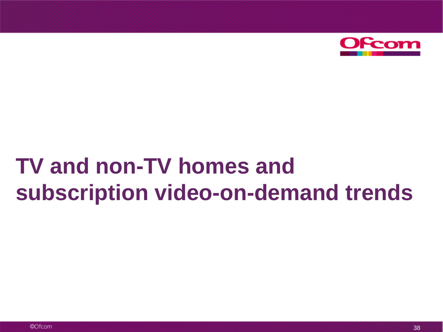

# **TV and non-TV homes and subscription video-on-demand trends**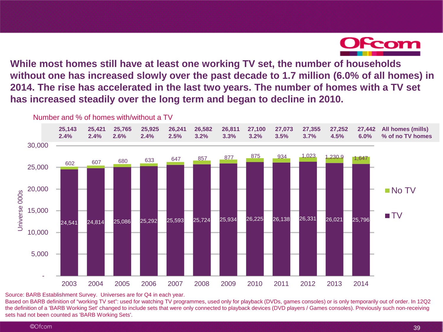

**While most homes still have at least one working TV set, the number of households without one has increased slowly over the past decade to 1.7 million (6.0% of all homes) in 2014. The rise has accelerated in the last two years. The number of homes with a TV set has increased steadily over the long term and began to decline in 2010.**



Source: BARB Establishment Survey. Universes are for Q4 in each year.

Based on BARB definition of "working TV set": used for watching TV programmes, used only for playback (DVDs, games consoles) or is only temporarily out of order. In 12Q2 the definition of a 'BARB Working Set' changed to include sets that were only connected to playback devices (DVD players / Games consoles). Previously such non-receiving sets had not been counted as 'BARB Working Sets'.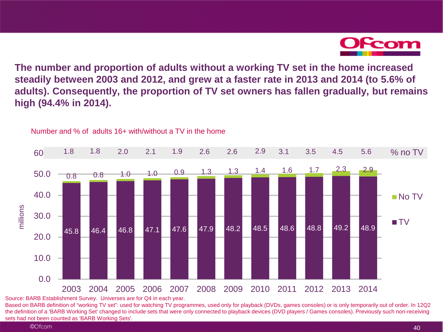

**The number and proportion of adults without a working TV set in the home increased steadily between 2003 and 2012, and grew at a faster rate in 2013 and 2014 (to 5.6% of adults). Consequently, the proportion of TV set owners has fallen gradually, but remains high (94.4% in 2014).**



Number and % of adults 16+ with/without a TV in the home

Source: BARB Establishment Survey. Universes are for Q4 in each year.

Based on BARB definition of "working TV set": used for watching TV programmes, used only for playback (DVDs, games consoles) or is only temporarily out of order. In 12Q2 the definition of a 'BARB Working Set' changed to include sets that were only connected to playback devices (DVD players / Games consoles). Previously such non-receiving sets had not been counted as 'BARB Working Sets'.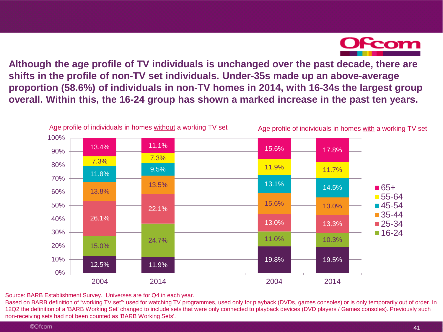

**Although the age profile of TV individuals is unchanged over the past decade, there are shifts in the profile of non-TV set individuals. Under-35s made up an above-average proportion (58.6%) of individuals in non-TV homes in 2014, with 16-34s the largest group overall. Within this, the 16-24 group has shown a marked increase in the past ten years.**



Source: BARB Establishment Survey. Universes are for Q4 in each year.

Based on BARB definition of "working TV set": used for watching TV programmes, used only for playback (DVDs, games consoles) or is only temporarily out of order. In 12Q2 the definition of a 'BARB Working Set' changed to include sets that were only connected to playback devices (DVD players / Games consoles). Previously such non-receiving sets had not been counted as 'BARB Working Sets'.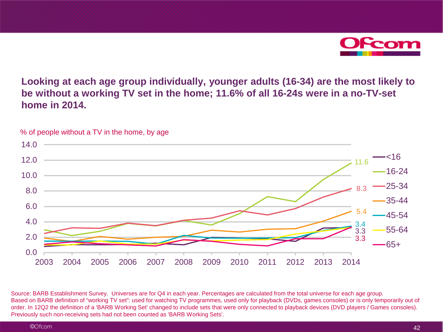

**Looking at each age group individually, younger adults (16-34) are the most likely to be without a working TV set in the home; 11.6% of all 16-24s were in a no-TV-set home in 2014.**



% of people without a TV in the home, by age

Source: BARB Establishment Survey. Universes are for Q4 in each year. Percentages are calculated from the total universe for each age group. Based on BARB definition of "working TV set": used for watching TV programmes, used only for playback (DVDs, games consoles) or is only temporarily out of order. In 12Q2 the definition of a 'BARB Working Set' changed to include sets that were only connected to playback devices (DVD players / Games consoles). Previously such non-receiving sets had not been counted as 'BARB Working Sets'.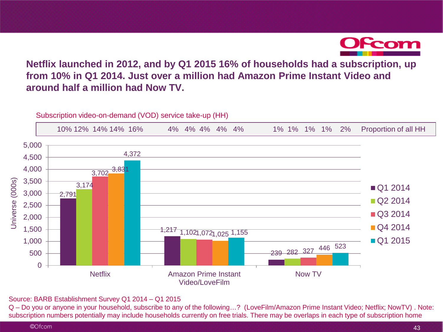

### **Netflix launched in 2012, and by Q1 2015 16% of households had a subscription, up from 10% in Q1 2014. Just over a million had Amazon Prime Instant Video and around half a million had Now TV.**



Source: BARB Establishment Survey Q1 2014 – Q1 2015

Q – Do you or anyone in your household, subscribe to any of the following...? (LoveFilm/Amazon Prime Instant Video; Netflix; NowTV). Note:<br>subscription numbers potentially may include households currently on free trials. T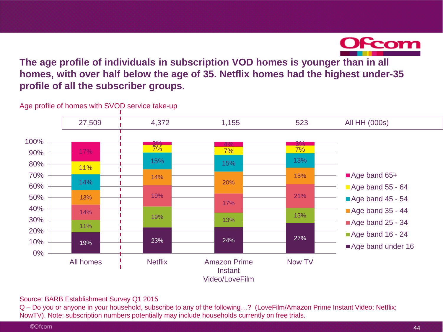

**The age profile of individuals in subscription VOD homes is younger than in all homes, with over half below the age of 35. Netflix homes had the highest under-35 profile of all the subscriber groups.**



Age profile of homes with SVOD service take-up

Source: BARB Establishment Survey Q1 2015

Q – Do you or anyone in your household, subscribe to any of the following…? (LoveFilm/Amazon Prime Instant Video; Netflix; NowTV). Note: subscription numbers potentially may include households currently on free trials.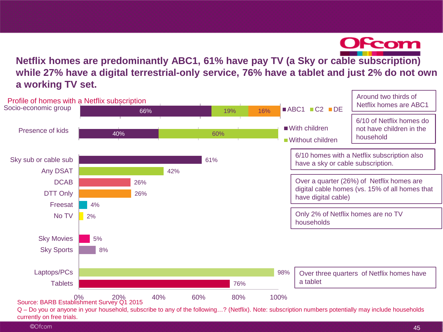

**Netflix homes are predominantly ABC1, 61% have pay TV (a Sky or cable subscription) while 27% have a digital terrestrial-only service, 76% have a tablet and just 2% do not own a working TV set.**

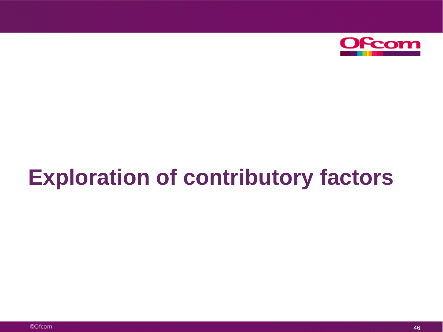

# **Exploration of contributory factors**

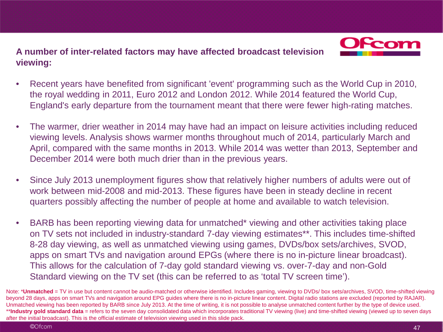**A number of inter-related factors may have affected broadcast television viewing:**



- Recent years have benefited from significant 'event' programming such as the World Cup in 2010, the royal wedding in 2011, Euro 2012 and London 2012. While 2014 featured the World Cup, England's early departure from the tournament meant that there were fewer high-rating matches.
- The warmer, drier weather in 2014 may have had an impact on leisure activities including reduced viewing levels. Analysis shows warmer months throughout much of 2014, particularly March and April, compared with the same months in 2013. While 2014 was wetter than 2013, September and December 2014 were both much drier than in the previous years.
- Since July 2013 unemployment figures show that relatively higher numbers of adults were out of work between mid-2008 and mid-2013. These figures have been in steady decline in recent quarters possibly affecting the number of people at home and available to watch television.
- BARB has been reporting viewing data for unmatched\* viewing and other activities taking place on TV sets not included in industry-standard 7-day viewing estimates\*\*. This includes time-shifted 8-28 day viewing, as well as unmatched viewing using games, DVDs/box sets/archives, SVOD, apps on smart TVs and navigation around EPGs (where there is no in-picture linear broadcast). This allows for the calculation of 7-day gold standard viewing vs. over-7-day and non-Gold Standard viewing on the TV set (this can be referred to as 'total TV screen time').

Note: \***Unmatched** = TV in use but content cannot be audio-matched or otherwise identified. Includes gaming, viewing to DVDs/ box sets/archives, SVOD, time-shifted viewing beyond 28 days, apps on smart TVs and navigation around EPG guides where there is no in-picture linear content. Digital radio stations are excluded (reported by RAJAR). Unmatched viewing has been reported by BARB since July 2013. At the time of writing, it is not possible to analyse unmatched content further by the type of device used. \*\***Industry gold standard data** = refers to the seven day consolidated data which incorporates traditional TV viewing (live) and time-shifted viewing (viewed up to seven days after the initial broadcast). This is the official estimate of television viewing used in this slide pack.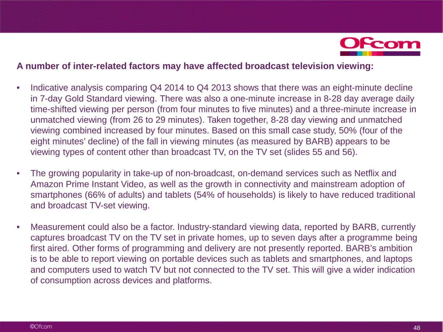

#### **A number of inter-related factors may have affected broadcast television viewing:**

- Indicative analysis comparing Q4 2014 to Q4 2013 shows that there was an eight-minute decline in 7-day Gold Standard viewing. There was also a one-minute increase in 8-28 day average daily time-shifted viewing per person (from four minutes to five minutes) and a three-minute increase in unmatched viewing (from 26 to 29 minutes). Taken together, 8-28 day viewing and unmatched viewing combined increased by four minutes. Based on this small case study, 50% (four of the eight minutes' decline) of the fall in viewing minutes (as measured by BARB) appears to be viewing types of content other than broadcast TV, on the TV set (slides 55 and 56).
- The growing popularity in take-up of non-broadcast, on-demand services such as Netflix and Amazon Prime Instant Video, as well as the growth in connectivity and mainstream adoption of smartphones (66% of adults) and tablets (54% of households) is likely to have reduced traditional and broadcast TV-set viewing.
- Measurement could also be a factor. Industry-standard viewing data, reported by BARB, currently captures broadcast TV on the TV set in private homes, up to seven days after a programme being first aired. Other forms of programming and delivery are not presently reported. BARB's ambition is to be able to report viewing on portable devices such as tablets and smartphones, and laptops and computers used to watch TV but not connected to the TV set. This will give a wider indication of consumption across devices and platforms.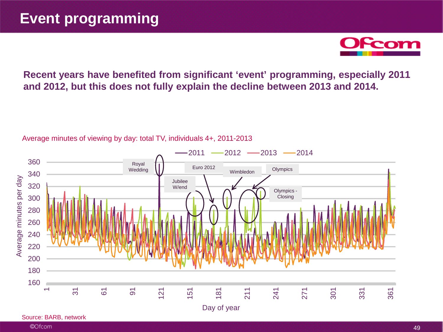

**Recent years have benefited from significant 'event' programming, especially 2011 and 2012, but this does not fully explain the decline between 2013 and 2014.**



Average minutes of viewing by day: total TV, individuals 4+, 2011-2013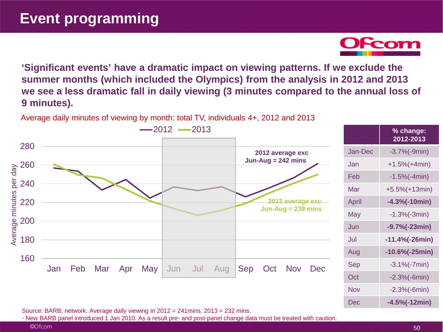**'Significant events' have a dramatic impact on viewing patterns. If we exclude the summer months (which included the Olympics) from the analysis in 2012 and 2013 we see a less dramatic fall in daily viewing (3 minutes compared to the annual loss of 9 minutes).**

Average daily minutes of viewing by month: total TV, individuals 4+, 2012 and 2013



Source: BARB, network. Average daily viewing in 2012 = 241mins. 2013 = 232 mins.

- New BARB panel introduced 1 Jan 2010. As a result pre- and post-panel change data must be treated with caution.

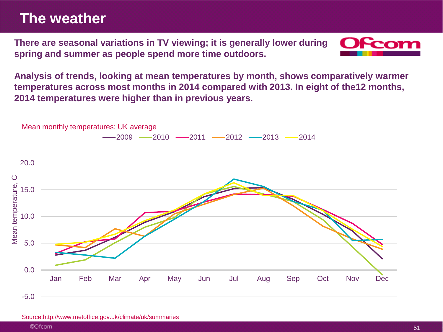## **The weather**

**There are seasonal variations in TV viewing; it is generally lower during spring and summer as people spend more time outdoors.** 



**Analysis of trends, looking at mean temperatures by month, shows comparatively warmer temperatures across most months in 2014 compared with 2013. In eight of the12 months, 2014 temperatures were higher than in previous years.**



Source:http://www.metoffice.gov.uk/climate/uk/summaries

<sup>©</sup>Ofcom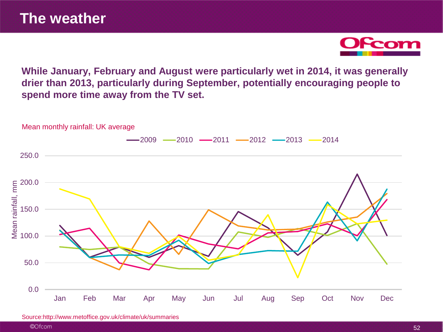

**While January, February and August were particularly wet in 2014, it was generally drier than 2013, particularly during September, potentially encouraging people to spend more time away from the TV set.**



Mean monthly rainfall: UK average

Source:http://www.metoffice.gov.uk/climate/uk/summaries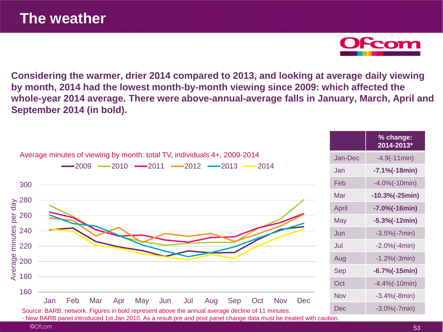**Considering the warmer, drier 2014 compared to 2013, and looking at average daily viewing by month, 2014 had the lowest month-by-month viewing since 2009: which affected the whole-year 2014 average. There were above-annual-average falls in January, March, April and September 2014 (in bold).**

|                                                                                                                                |            | % change:<br>2014-2013* |
|--------------------------------------------------------------------------------------------------------------------------------|------------|-------------------------|
| Average minutes of viewing by month: total TV, individuals 4+, 2009-2014<br>$-2010$ $-2011$ $-2012$ $-2013$ $-2014$<br>$-2009$ |            | $-4.9(-11min)$          |
|                                                                                                                                |            | $-7.1\%(-18min)$        |
| 300                                                                                                                            | Feb        | $-4.0\%(-10min)$        |
|                                                                                                                                | Mar        | $-10.3%(-25min)$        |
| $\frac{2}{9}$ 280                                                                                                              | April      | $-7.0\%(-16min)$        |
| 260<br>per<br>minutes<br>240                                                                                                   |            | $-5.3%(-12min)$         |
|                                                                                                                                |            | $-3.5%(-7min)$          |
| 220                                                                                                                            | Jul        | $-2.0%(-4min)$          |
| $\frac{8}{6}$ 200<br>$\frac{1}{6}$ 180                                                                                         | Aug        | $-1.2%(-3min)$          |
|                                                                                                                                | <b>Sep</b> | $-6.7%(-15min)$         |
|                                                                                                                                | Oct        | $-4.4\%(-10min)$        |
| 160<br>Feb<br>Jan<br>Mar<br>Apr<br>May<br>Jun<br>Jul<br>Aug<br>Sep<br>Oct<br><b>Nov</b><br><b>Dec</b>                          | <b>Nov</b> | $-3.4%(-8min)$          |
| Source: BARB, network. Figures in bold represent above the annual average decline of 11 minutes.                               | <b>Dec</b> | $-3.0\%(-7min)$         |
| - New BARB panel introduced 1st Jan 2010. As a result pre and post panel change data must be treated with caution.             |            |                         |

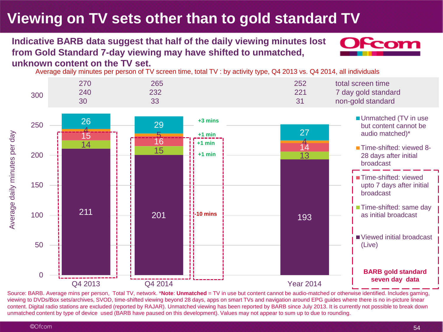# **Viewing on TV sets other than to gold standard TV**

## **Indicative BARB data suggest that half of the daily viewing minutes lost from Gold Standard 7-day viewing may have shifted to unmatched,**



**unknown content on the TV set.**

Average daily minutes per person of TV screen time, total TV : by activity type, Q4 2013 vs. Q4 2014, all individuals



Source: BARB. Average mins per person, Total TV, network. \***Note**: **Unmatched** = TV in use but content cannot be audio-matched or otherwise identified. Includes gaming, viewing to DVDs/Box sets/archives, SVOD, time-shifted viewing beyond 28 days, apps on smart TVs and navigation around EPG guides where there is no in-picture linear content. Digital radio stations are excluded (reported by RAJAR). Unmatched viewing has been reported by BARB since July 2013. It is currently not possible to break down unmatched content by type of device used (BARB have paused on this development). Values may not appear to sum up to due to rounding.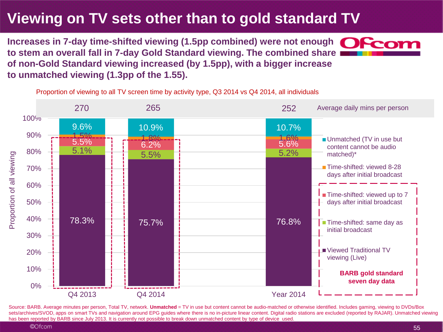# **Viewing on TV sets other than to gold standard TV**

Increases in 7-day time-shifted viewing (1.5pp combined) were not enough **OCCOM to stem an overall fall in 7-day Gold Standard viewing. The combined share of non-Gold Standard viewing increased (by 1.5pp), with a bigger increase to unmatched viewing (1.3pp of the 1.55).** 

Proportion of viewing to all TV screen time by activity type, Q3 2014 vs Q4 2014, all individuals



Source: BARB. Average minutes per person, Total TV, network. Unmatched = TV in use but content cannot be audio-matched or otherwise identified. Includes gaming, viewing to DVDs/Box sets/archives/SVOD, apps on smart TVs and navigation around EPG quides where there is no in-picture linear content. Digital radio stations are excluded (reported by RAJAR). Unmatched viewing has been reported by BARB since July 2013. It is currently not possible to break down unmatched content by type of device used.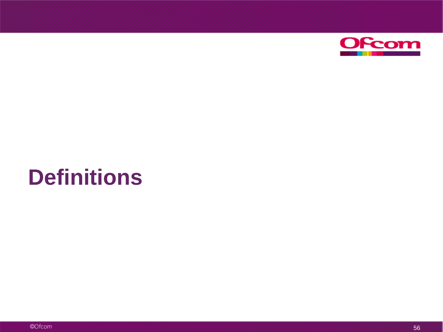

# **Definitions**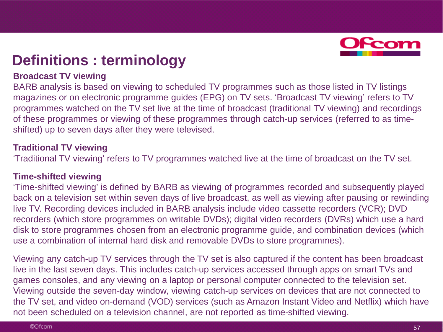

## **Definitions : terminology**

### **Broadcast TV viewing**

BARB analysis is based on viewing to scheduled TV programmes such as those listed in TV listings magazines or on electronic programme guides (EPG) on TV sets. 'Broadcast TV viewing' refers to TV programmes watched on the TV set live at the time of broadcast (traditional TV viewing) and recordings of these programmes or viewing of these programmes through catch-up services (referred to as timeshifted) up to seven days after they were televised.

### **Traditional TV viewing**

'Traditional TV viewing' refers to TV programmes watched live at the time of broadcast on the TV set.

### **Time-shifted viewing**

'Time-shifted viewing' is defined by BARB as viewing of programmes recorded and subsequently played back on a television set within seven days of live broadcast, as well as viewing after pausing or rewinding live TV. Recording devices included in BARB analysis include video cassette recorders (VCR); DVD recorders (which store programmes on writable DVDs); digital video recorders (DVRs) which use a hard disk to store programmes chosen from an electronic programme guide, and combination devices (which use a combination of internal hard disk and removable DVDs to store programmes).

Viewing any catch-up TV services through the TV set is also captured if the content has been broadcast live in the last seven days. This includes catch-up services accessed through apps on smart TVs and games consoles, and any viewing on a laptop or personal computer connected to the television set. Viewing outside the seven-day window, viewing catch-up services on devices that are not connected to the TV set, and video on-demand (VOD) services (such as Amazon Instant Video and Netflix) which have not been scheduled on a television channel, are not reported as time-shifted viewing.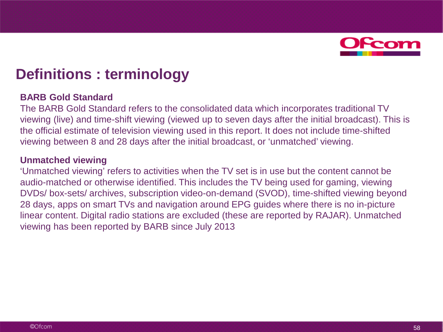

## **Definitions : terminology**

### **BARB Gold Standard**

The BARB Gold Standard refers to the consolidated data which incorporates traditional TV viewing (live) and time-shift viewing (viewed up to seven days after the initial broadcast). This is the official estimate of television viewing used in this report. It does not include time-shifted viewing between 8 and 28 days after the initial broadcast, or 'unmatched' viewing.

### **Unmatched viewing**

'Unmatched viewing' refers to activities when the TV set is in use but the content cannot be audio-matched or otherwise identified. This includes the TV being used for gaming, viewing DVDs/ box-sets/ archives, subscription video-on-demand (SVOD), time-shifted viewing beyond 28 days, apps on smart TVs and navigation around EPG guides where there is no in-picture linear content. Digital radio stations are excluded (these are reported by RAJAR). Unmatched viewing has been reported by BARB since July 2013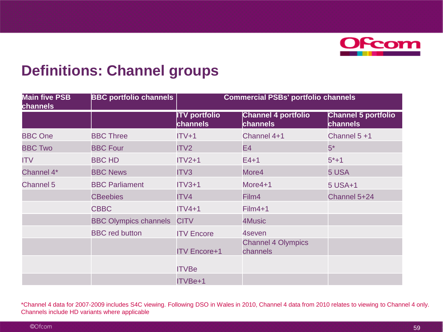

## **Definitions: Channel groups**

| <b>Main five PSB</b><br><b>channels</b> | <b>BBC portfolio channels</b> | <b>Commercial PSBs' portfolio channels</b> |                                               |                                               |
|-----------------------------------------|-------------------------------|--------------------------------------------|-----------------------------------------------|-----------------------------------------------|
|                                         |                               | <b>ITV</b> portfolio<br>channels           | <b>Channel 4 portfolio</b><br><b>channels</b> | <b>Channel 5 portfolio</b><br><b>channels</b> |
| <b>BBC One</b>                          | <b>BBC Three</b>              | $ITV+1$                                    | Channel 4+1                                   | Channel 5 +1                                  |
| <b>BBC Two</b>                          | <b>BBC Four</b>               | ITV2                                       | E4                                            | $5*$                                          |
| ITV                                     | <b>BBC HD</b>                 | $ITV2+1$                                   | $E4+1$                                        | $5*+1$                                        |
| Channel 4*                              | <b>BBC News</b>               | ITV3                                       | More4                                         | 5 USA                                         |
| <b>Channel 5</b>                        | <b>BBC Parliament</b>         | $ITV3+1$                                   | More4+1                                       | 5 USA+1                                       |
|                                         | <b>CBeebies</b>               | ITV4                                       | Film4                                         | Channel 5+24                                  |
|                                         | <b>CBBC</b>                   | $ITV4+1$                                   | Film4+1                                       |                                               |
|                                         | <b>BBC Olympics channels</b>  | <b>CITV</b>                                | 4Music                                        |                                               |
|                                         | <b>BBC</b> red button         | <b>ITV Encore</b>                          | 4seven                                        |                                               |
|                                         |                               | <b>ITV Encore+1</b>                        | <b>Channel 4 Olympics</b><br>channels         |                                               |
|                                         |                               | <b>ITVBe</b>                               |                                               |                                               |
|                                         |                               | ITVBe+1                                    |                                               |                                               |

\*Channel 4 data for 2007-2009 includes S4C viewing. Following DSO in Wales in 2010, Channel 4 data from 2010 relates to viewing to Channel 4 only. Channels include HD variants where applicable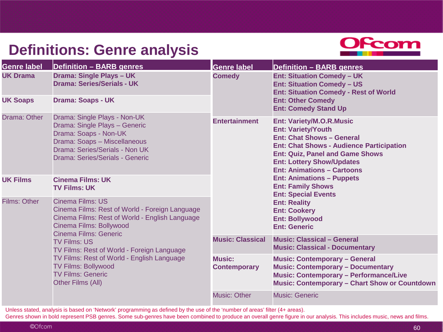# **Definitions: Genre analysis**



| <b>Genre label</b>                                                                                                                                                                                                                                                                                                                                                                                                     | <b>Definition - BARB genres</b>                                                                                                                                                             | <b>Genre label</b>                                                                         | <b>Definition - BARB genres</b>                                                                                                                                                                                                                                        |  |
|------------------------------------------------------------------------------------------------------------------------------------------------------------------------------------------------------------------------------------------------------------------------------------------------------------------------------------------------------------------------------------------------------------------------|---------------------------------------------------------------------------------------------------------------------------------------------------------------------------------------------|--------------------------------------------------------------------------------------------|------------------------------------------------------------------------------------------------------------------------------------------------------------------------------------------------------------------------------------------------------------------------|--|
| <b>UK Drama</b>                                                                                                                                                                                                                                                                                                                                                                                                        | Drama: Single Plays - UK<br><b>Drama: Series/Serials - UK</b>                                                                                                                               | <b>Comedy</b>                                                                              | <b>Ent: Situation Comedy - UK</b><br><b>Ent: Situation Comedy - US</b><br><b>Ent: Situation Comedy - Rest of World</b>                                                                                                                                                 |  |
| <b>UK Soaps</b>                                                                                                                                                                                                                                                                                                                                                                                                        | <b>Drama: Soaps - UK</b>                                                                                                                                                                    |                                                                                            | <b>Ent: Other Comedy</b><br><b>Ent: Comedy Stand Up</b>                                                                                                                                                                                                                |  |
| Drama: Other                                                                                                                                                                                                                                                                                                                                                                                                           | Drama: Single Plays - Non-UK<br>Drama: Single Plays - Generic<br>Drama: Soaps - Non-UK<br>Drama: Soaps - Miscellaneous<br>Drama: Series/Serials - Non UK<br>Drama: Series/Serials - Generic | <b>Entertainment</b>                                                                       | <b>Ent: Variety/M.O.R.Music</b><br><b>Ent: Variety/Youth</b><br><b>Ent: Chat Shows - General</b><br><b>Ent: Chat Shows - Audience Participation</b><br><b>Ent: Quiz, Panel and Game Shows</b><br><b>Ent: Lottery Show/Updates</b><br><b>Ent: Animations - Cartoons</b> |  |
| <b>UK Films</b>                                                                                                                                                                                                                                                                                                                                                                                                        | <b>Cinema Films: UK</b><br><b>TV Films: UK</b>                                                                                                                                              |                                                                                            | <b>Ent: Animations - Puppets</b><br><b>Ent: Family Shows</b><br><b>Ent: Special Events</b>                                                                                                                                                                             |  |
| <b>Cinema Films: US</b><br><b>Films: Other</b><br>Cinema Films: Rest of World - Foreign Language<br>Cinema Films: Rest of World - English Language<br>Cinema Films: Bollywood<br><b>Cinema Films: Generic</b><br><b>TV Films: US</b><br>TV Films: Rest of World - Foreign Language<br>TV Films: Rest of World - English Language<br><b>TV Films: Bollywood</b><br><b>TV Films: Generic</b><br><b>Other Films (All)</b> |                                                                                                                                                                                             | <b>Ent: Reality</b><br><b>Ent: Cookery</b><br><b>Ent: Bollywood</b><br><b>Ent: Generic</b> |                                                                                                                                                                                                                                                                        |  |
|                                                                                                                                                                                                                                                                                                                                                                                                                        |                                                                                                                                                                                             | <b>Music: Classical</b>                                                                    | <b>Music: Classical - General</b><br><b>Music: Classical - Documentary</b>                                                                                                                                                                                             |  |
|                                                                                                                                                                                                                                                                                                                                                                                                                        |                                                                                                                                                                                             | <b>Music:</b><br><b>Contemporary</b>                                                       | <b>Music: Contemporary - General</b><br><b>Music: Contemporary - Documentary</b><br><b>Music: Contemporary - Performance/Live</b><br><b>Music: Contemporary - Chart Show or Countdown</b>                                                                              |  |
|                                                                                                                                                                                                                                                                                                                                                                                                                        |                                                                                                                                                                                             | <b>Music: Other</b>                                                                        | <b>Music: Generic</b>                                                                                                                                                                                                                                                  |  |

Unless stated, analysis is based on 'Network' programming as defined by the use of the 'number of areas' filter (4+ areas).

Genres shown in bold represent PSB genres. Some sub-genres have been combined to produce an overall genre figure in our analysis. This includes music, news and films.